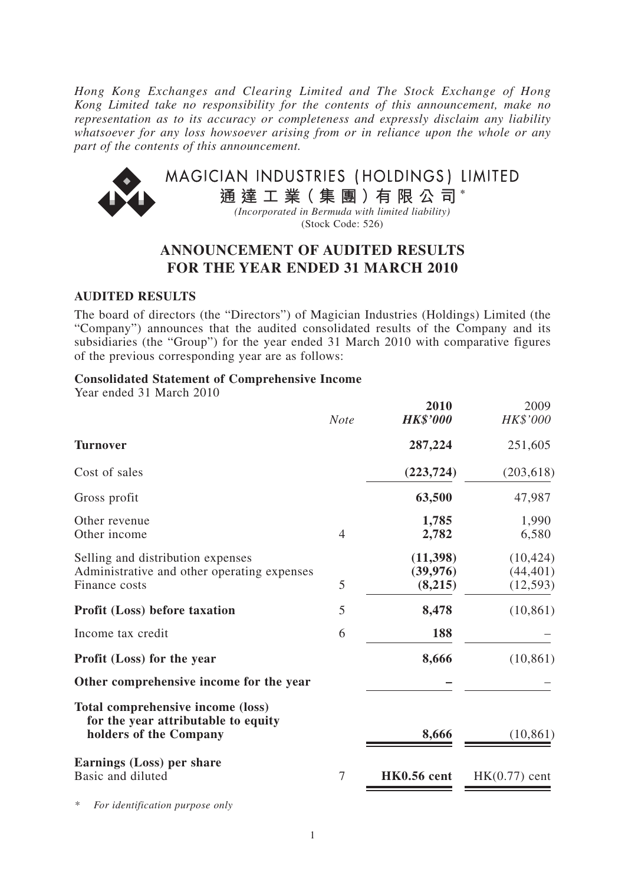*Hong Kong Exchanges and Clearing Limited and The Stock Exchange of Hong Kong Limited take no responsibility for the contents of this announcement, make no representation as to its accuracy or completeness and expressly disclaim any liability whatsoever for any loss howsoever arising from or in reliance upon the whole or any part of the contents of this announcement.*



# **ANNOUNCEMENT OF AUDITED RESULTS FOR THE YEAR ENDED 31 MARCH 2010**

### **AUDITED RESULTS**

The board of directors (the "Directors") of Magician Industries (Holdings) Limited (the "Company") announces that the audited consolidated results of the Company and its subsidiaries (the "Group") for the year ended 31 March 2010 with comparative figures of the previous corresponding year are as follows:

### **Consolidated Statement of Comprehensive Income**

Year ended 31 March 2010

|                                                                                                    | <b>Note</b> | 2010<br><b>HK\$'000</b>           | 2009<br>HK\$'000                    |
|----------------------------------------------------------------------------------------------------|-------------|-----------------------------------|-------------------------------------|
| <b>Turnover</b>                                                                                    |             | 287,224                           | 251,605                             |
| Cost of sales                                                                                      |             | (223, 724)                        | (203, 618)                          |
| Gross profit                                                                                       |             | 63,500                            | 47,987                              |
| Other revenue<br>Other income                                                                      | 4           | 1,785<br>2,782                    | 1,990<br>6,580                      |
| Selling and distribution expenses<br>Administrative and other operating expenses<br>Finance costs  | 5           | (11, 398)<br>(39, 976)<br>(8,215) | (10, 424)<br>(44, 401)<br>(12, 593) |
| <b>Profit (Loss) before taxation</b>                                                               | 5           | 8,478                             | (10, 861)                           |
| Income tax credit                                                                                  | 6           | 188                               |                                     |
| <b>Profit (Loss) for the year</b>                                                                  |             | 8,666                             | (10, 861)                           |
| Other comprehensive income for the year                                                            |             |                                   |                                     |
| Total comprehensive income (loss)<br>for the year attributable to equity<br>holders of the Company |             | 8,666                             | (10, 861)                           |
| Earnings (Loss) per share<br>Basic and diluted                                                     | 7           | HK0.56 cent                       | $HK(0.77)$ cent                     |

*\* For identification purpose only*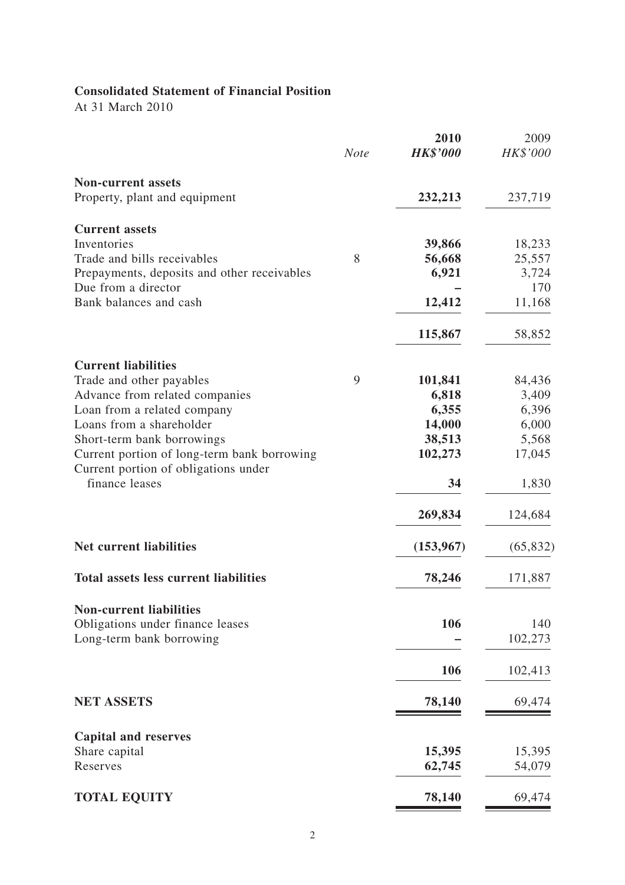# **Consolidated Statement of Financial Position**

At 31 March 2010

|                                                        | <b>Note</b> | 2010<br><b>HK\$'000</b> | 2009<br>HK\$'000 |
|--------------------------------------------------------|-------------|-------------------------|------------------|
|                                                        |             |                         |                  |
| <b>Non-current assets</b>                              |             |                         |                  |
| Property, plant and equipment                          |             | 232,213                 | 237,719          |
| <b>Current assets</b>                                  |             |                         |                  |
| Inventories                                            |             | 39,866                  | 18,233           |
| Trade and bills receivables                            | 8           | 56,668                  | 25,557           |
| Prepayments, deposits and other receivables            |             | 6,921                   | 3,724            |
| Due from a director                                    |             |                         | 170              |
| Bank balances and cash                                 |             | 12,412                  | 11,168           |
|                                                        |             | 115,867                 | 58,852           |
| <b>Current liabilities</b>                             |             |                         |                  |
| Trade and other payables                               | 9           | 101,841                 | 84,436           |
| Advance from related companies                         |             | 6,818                   | 3,409            |
| Loan from a related company                            |             | 6,355                   | 6,396            |
| Loans from a shareholder                               |             | 14,000                  | 6,000            |
| Short-term bank borrowings                             |             | 38,513                  | 5,568            |
| Current portion of long-term bank borrowing            |             | 102,273                 | 17,045           |
| Current portion of obligations under<br>finance leases |             | 34                      | 1,830            |
|                                                        |             | 269,834                 | 124,684          |
| <b>Net current liabilities</b>                         |             | (153, 967)              | (65, 832)        |
| <b>Total assets less current liabilities</b>           |             | 78,246                  | 171,887          |
| <b>Non-current liabilities</b>                         |             |                         |                  |
| Obligations under finance leases                       |             | 106                     | 140              |
| Long-term bank borrowing                               |             |                         | 102,273          |
|                                                        |             | 106                     | 102,413          |
| <b>NET ASSETS</b>                                      |             | 78,140                  | 69,474           |
|                                                        |             |                         |                  |
| <b>Capital and reserves</b>                            |             |                         |                  |
| Share capital                                          |             | 15,395                  | 15,395           |
| Reserves                                               |             | 62,745                  | 54,079           |
| <b>TOTAL EQUITY</b>                                    |             | 78,140                  | 69,474           |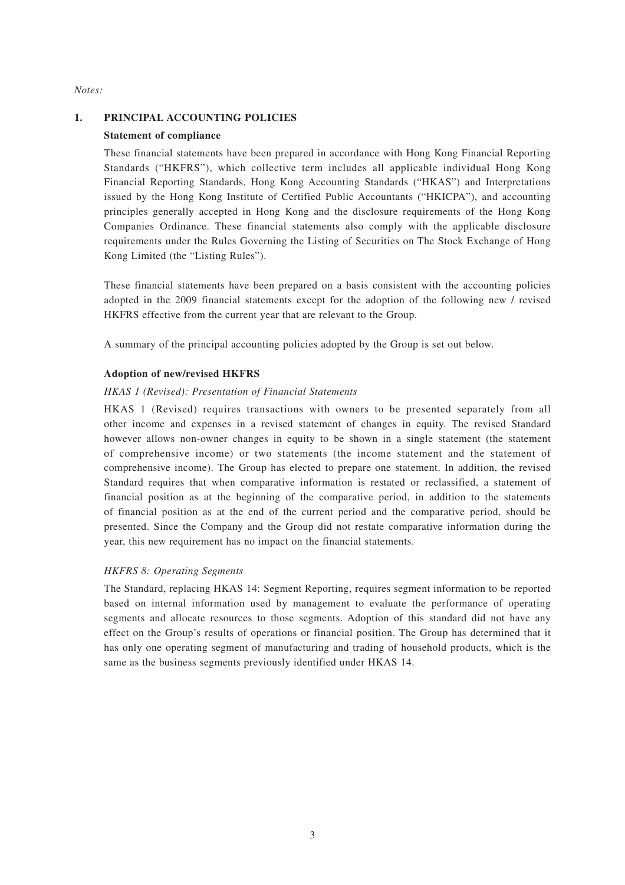#### *Notes:*

#### **1. PRINCIPAL ACCOUNTING POLICIES**

#### **Statement of compliance**

These financial statements have been prepared in accordance with Hong Kong Financial Reporting Standards ("HKFRS"), which collective term includes all applicable individual Hong Kong Financial Reporting Standards, Hong Kong Accounting Standards ("HKAS") and Interpretations issued by the Hong Kong Institute of Certified Public Accountants ("HKICPA"), and accounting principles generally accepted in Hong Kong and the disclosure requirements of the Hong Kong Companies Ordinance. These financial statements also comply with the applicable disclosure requirements under the Rules Governing the Listing of Securities on The Stock Exchange of Hong Kong Limited (the "Listing Rules").

These financial statements have been prepared on a basis consistent with the accounting policies adopted in the 2009 financial statements except for the adoption of the following new / revised HKFRS effective from the current year that are relevant to the Group.

A summary of the principal accounting policies adopted by the Group is set out below.

#### **Adoption of new/revised HKFRS**

#### *HKAS 1 (Revised): Presentation of Financial Statements*

HKAS 1 (Revised) requires transactions with owners to be presented separately from all other income and expenses in a revised statement of changes in equity. The revised Standard however allows non-owner changes in equity to be shown in a single statement (the statement of comprehensive income) or two statements (the income statement and the statement of comprehensive income). The Group has elected to prepare one statement. In addition, the revised Standard requires that when comparative information is restated or reclassified, a statement of financial position as at the beginning of the comparative period, in addition to the statements of financial position as at the end of the current period and the comparative period, should be presented. Since the Company and the Group did not restate comparative information during the year, this new requirement has no impact on the financial statements.

#### *HKFRS 8: Operating Segments*

The Standard, replacing HKAS 14: Segment Reporting, requires segment information to be reported based on internal information used by management to evaluate the performance of operating segments and allocate resources to those segments. Adoption of this standard did not have any effect on the Group's results of operations or financial position. The Group has determined that it has only one operating segment of manufacturing and trading of household products, which is the same as the business segments previously identified under HKAS 14.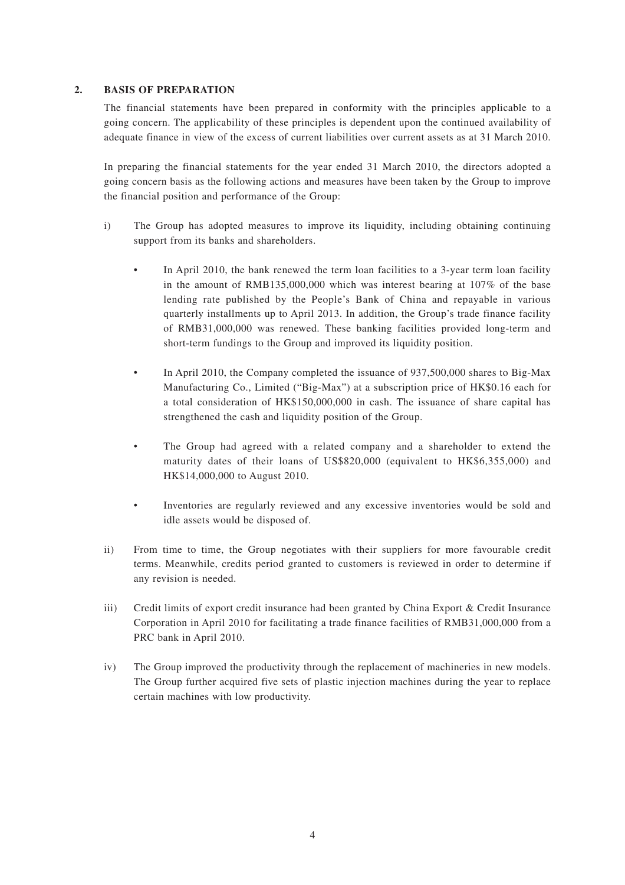#### **2. BASIS OF PREPARATION**

The financial statements have been prepared in conformity with the principles applicable to a going concern. The applicability of these principles is dependent upon the continued availability of adequate finance in view of the excess of current liabilities over current assets as at 31 March 2010.

In preparing the financial statements for the year ended 31 March 2010, the directors adopted a going concern basis as the following actions and measures have been taken by the Group to improve the financial position and performance of the Group:

- i) The Group has adopted measures to improve its liquidity, including obtaining continuing support from its banks and shareholders.
	- In April 2010, the bank renewed the term loan facilities to a 3-year term loan facility in the amount of RMB135,000,000 which was interest bearing at 107% of the base lending rate published by the People's Bank of China and repayable in various quarterly installments up to April 2013. In addition, the Group's trade finance facility of RMB31,000,000 was renewed. These banking facilities provided long-term and short-term fundings to the Group and improved its liquidity position.
	- In April 2010, the Company completed the issuance of 937,500,000 shares to Big-Max Manufacturing Co., Limited ("Big-Max") at a subscription price of HK\$0.16 each for a total consideration of HK\$150,000,000 in cash. The issuance of share capital has strengthened the cash and liquidity position of the Group.
	- The Group had agreed with a related company and a shareholder to extend the maturity dates of their loans of US\$820,000 (equivalent to HK\$6,355,000) and HK\$14,000,000 to August 2010.
	- Inventories are regularly reviewed and any excessive inventories would be sold and idle assets would be disposed of.
- ii) From time to time, the Group negotiates with their suppliers for more favourable credit terms. Meanwhile, credits period granted to customers is reviewed in order to determine if any revision is needed.
- iii) Credit limits of export credit insurance had been granted by China Export & Credit Insurance Corporation in April 2010 for facilitating a trade finance facilities of RMB31,000,000 from a PRC bank in April 2010.
- iv) The Group improved the productivity through the replacement of machineries in new models. The Group further acquired five sets of plastic injection machines during the year to replace certain machines with low productivity.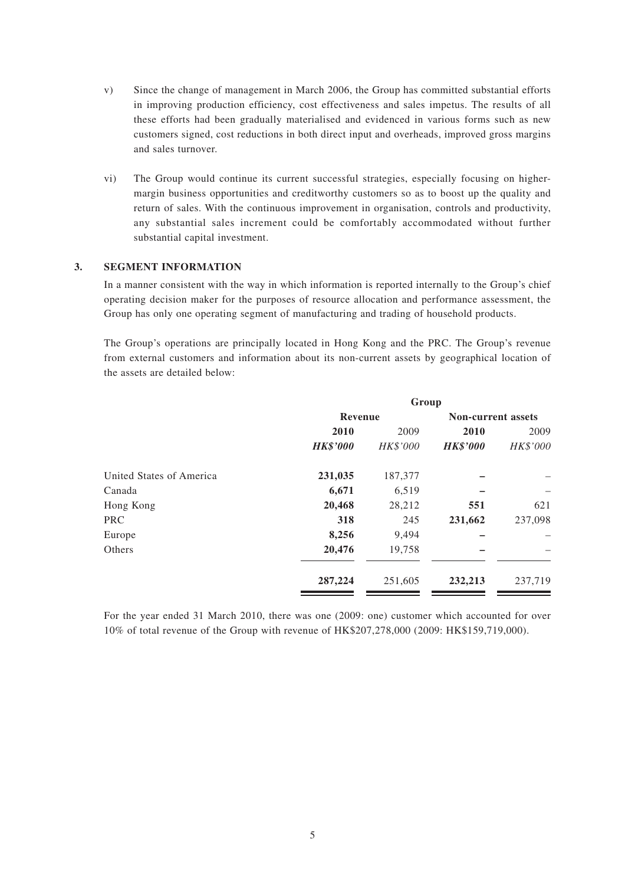- v) Since the change of management in March 2006, the Group has committed substantial efforts in improving production efficiency, cost effectiveness and sales impetus. The results of all these efforts had been gradually materialised and evidenced in various forms such as new customers signed, cost reductions in both direct input and overheads, improved gross margins and sales turnover.
- vi) The Group would continue its current successful strategies, especially focusing on highermargin business opportunities and creditworthy customers so as to boost up the quality and return of sales. With the continuous improvement in organisation, controls and productivity, any substantial sales increment could be comfortably accommodated without further substantial capital investment.

#### **3. SEGMENT INFORMATION**

In a manner consistent with the way in which information is reported internally to the Group's chief operating decision maker for the purposes of resource allocation and performance assessment, the Group has only one operating segment of manufacturing and trading of household products.

The Group's operations are principally located in Hong Kong and the PRC. The Group's revenue from external customers and information about its non-current assets by geographical location of the assets are detailed below:

| Group           |          |                           |          |
|-----------------|----------|---------------------------|----------|
| Revenue         |          | <b>Non-current assets</b> |          |
| 2010            | 2009     | 2010                      | 2009     |
| <b>HK\$'000</b> | HK\$'000 | <b>HK\$'000</b>           | HK\$'000 |
| 231,035         | 187,377  |                           |          |
| 6,671           | 6,519    |                           |          |
| 20,468          | 28,212   | 551                       | 621      |
| 318             | 245      | 231,662                   | 237,098  |
| 8,256           | 9,494    |                           |          |
| 20,476          | 19,758   |                           |          |
| 287,224         | 251,605  | 232,213                   | 237,719  |
|                 |          |                           |          |

For the year ended 31 March 2010, there was one (2009: one) customer which accounted for over 10% of total revenue of the Group with revenue of HK\$207,278,000 (2009: HK\$159,719,000).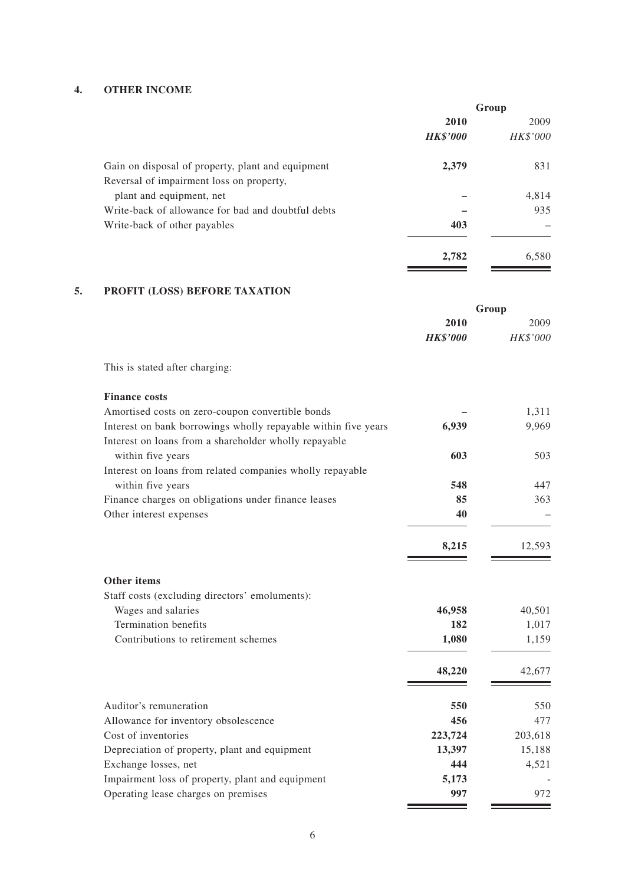#### **4. OTHER INCOME**

|                                                    | Group           |                 |  |
|----------------------------------------------------|-----------------|-----------------|--|
|                                                    | 2010            | 2009            |  |
|                                                    | <b>HK\$'000</b> | <i>HK\$'000</i> |  |
| Gain on disposal of property, plant and equipment  | 2,379           | 831             |  |
| Reversal of impairment loss on property,           |                 |                 |  |
| plant and equipment, net                           |                 | 4,814           |  |
| Write-back of allowance for bad and doubtful debts |                 | 935             |  |
| Write-back of other payables                       | 403             |                 |  |
|                                                    | 2,782           | 6,580           |  |
|                                                    |                 |                 |  |

### **5. PROFIT (LOSS) BEFORE TAXATION**

|                                                                | Group           |          |
|----------------------------------------------------------------|-----------------|----------|
|                                                                | 2010            | 2009     |
|                                                                | <b>HK\$'000</b> | HK\$'000 |
| This is stated after charging:                                 |                 |          |
| <b>Finance costs</b>                                           |                 |          |
| Amortised costs on zero-coupon convertible bonds               |                 | 1,311    |
| Interest on bank borrowings wholly repayable within five years | 6,939           | 9,969    |
| Interest on loans from a shareholder wholly repayable          |                 |          |
| within five years                                              | 603             | 503      |
| Interest on loans from related companies wholly repayable      |                 |          |
| within five years                                              | 548             | 447      |
| Finance charges on obligations under finance leases            | 85              | 363      |
| Other interest expenses                                        | 40              |          |
|                                                                | 8,215           | 12,593   |
| Other items                                                    |                 |          |
| Staff costs (excluding directors' emoluments):                 |                 |          |
| Wages and salaries                                             | 46,958          | 40,501   |
| <b>Termination</b> benefits                                    | 182             | 1,017    |
| Contributions to retirement schemes                            | 1,080           | 1,159    |
|                                                                | 48,220          | 42,677   |
| Auditor's remuneration                                         | 550             | 550      |
| Allowance for inventory obsolescence                           | 456             | 477      |
| Cost of inventories                                            | 223,724         | 203,618  |
| Depreciation of property, plant and equipment                  | 13,397          | 15,188   |
| Exchange losses, net                                           | 444             | 4,521    |
| Impairment loss of property, plant and equipment               | 5,173           |          |
| Operating lease charges on premises                            | 997             | 972      |

Ξ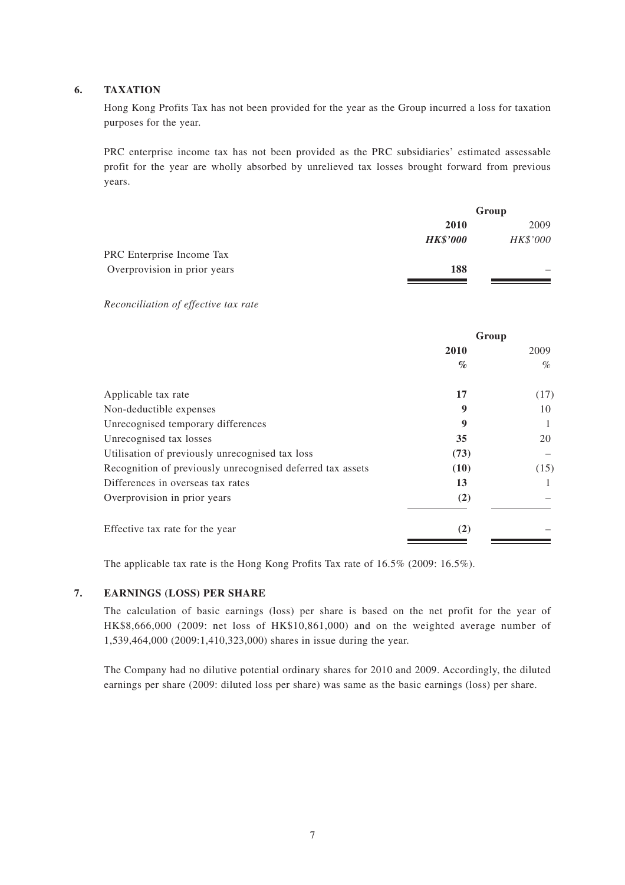#### **6. TAXATION**

Hong Kong Profits Tax has not been provided for the year as the Group incurred a loss for taxation purposes for the year.

PRC enterprise income tax has not been provided as the PRC subsidiaries' estimated assessable profit for the year are wholly absorbed by unrelieved tax losses brought forward from previous years.

|                              | Group           |          |
|------------------------------|-----------------|----------|
|                              | 2010            | 2009     |
|                              | <b>HK\$'000</b> | HK\$'000 |
| PRC Enterprise Income Tax    |                 |          |
| Overprovision in prior years | 188             |          |
|                              |                 |          |

*Reconciliation of effective tax rate* 

|                                                            | Group |      |
|------------------------------------------------------------|-------|------|
|                                                            | 2010  | 2009 |
|                                                            | $\%$  | $\%$ |
| Applicable tax rate                                        | 17    | (17) |
| Non-deductible expenses                                    | 9     | 10   |
| Unrecognised temporary differences                         | 9     |      |
| Unrecognised tax losses                                    | 35    | 20   |
| Utilisation of previously unrecognised tax loss            | (73)  |      |
| Recognition of previously unrecognised deferred tax assets | (10)  | (15) |
| Differences in overseas tax rates                          | 13    |      |
| Overprovision in prior years                               | (2)   |      |
| Effective tax rate for the year                            | (2)   |      |

The applicable tax rate is the Hong Kong Profits Tax rate of 16.5% (2009: 16.5%).

#### **7. EARNINGS (LOSS) PER SHARE**

The calculation of basic earnings (loss) per share is based on the net profit for the year of HK\$8,666,000 (2009: net loss of HK\$10,861,000) and on the weighted average number of 1,539,464,000 (2009:1,410,323,000) shares in issue during the year.

The Company had no dilutive potential ordinary shares for 2010 and 2009. Accordingly, the diluted earnings per share (2009: diluted loss per share) was same as the basic earnings (loss) per share.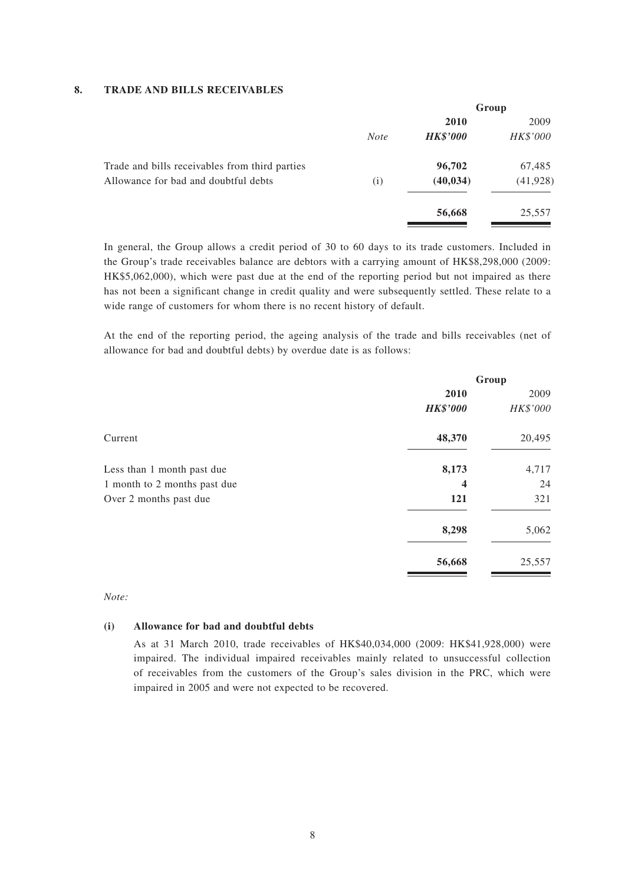#### **8. TRADE AND BILLS RECEIVABLES**

|             | Group           |           |
|-------------|-----------------|-----------|
|             | 2010            | 2009      |
| <b>Note</b> | <b>HK\$'000</b> | HK\$'000  |
|             | 96,702          | 67,485    |
| (i)         | (40, 034)       | (41, 928) |
|             | 56,668          | 25,557    |
|             |                 |           |

In general, the Group allows a credit period of 30 to 60 days to its trade customers. Included in the Group's trade receivables balance are debtors with a carrying amount of HK\$8,298,000 (2009: HK\$5,062,000), which were past due at the end of the reporting period but not impaired as there has not been a significant change in credit quality and were subsequently settled. These relate to a wide range of customers for whom there is no recent history of default.

At the end of the reporting period, the ageing analysis of the trade and bills receivables (net of allowance for bad and doubtful debts) by overdue date is as follows:

|                              | Group                   |          |
|------------------------------|-------------------------|----------|
|                              | 2010                    | 2009     |
|                              | <b>HK\$'000</b>         | HK\$'000 |
| Current                      | 48,370                  | 20,495   |
| Less than 1 month past due   | 8,173                   | 4,717    |
| 1 month to 2 months past due | $\overline{\mathbf{4}}$ | 24       |
| Over 2 months past due       | 121                     | 321      |
|                              | 8,298                   | 5,062    |
|                              | 56,668                  | 25,557   |

#### *Note:*

#### **(i) Allowance for bad and doubtful debts**

As at 31 March 2010, trade receivables of HK\$40,034,000 (2009: HK\$41,928,000) were impaired. The individual impaired receivables mainly related to unsuccessful collection of receivables from the customers of the Group's sales division in the PRC, which were impaired in 2005 and were not expected to be recovered.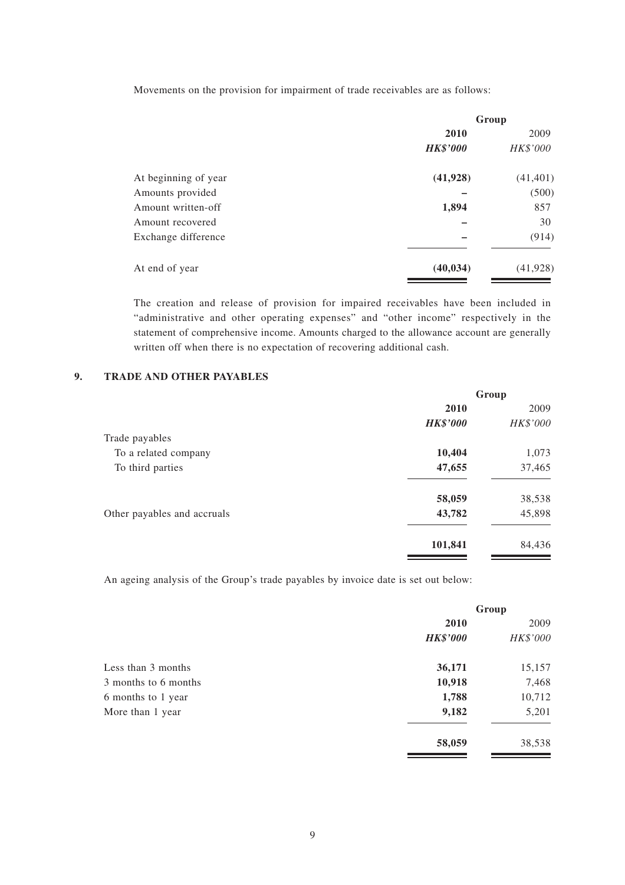Movements on the provision for impairment of trade receivables are as follows:

|                      | Group           |           |
|----------------------|-----------------|-----------|
|                      | 2010            | 2009      |
|                      | <b>HK\$'000</b> | HK\$'000  |
| At beginning of year | (41, 928)       | (41, 401) |
| Amounts provided     |                 | (500)     |
| Amount written-off   | 1,894           | 857       |
| Amount recovered     |                 | 30        |
| Exchange difference  |                 | (914)     |
| At end of year       | (40, 034)       | (41, 928) |

The creation and release of provision for impaired receivables have been included in "administrative and other operating expenses" and "other income" respectively in the statement of comprehensive income. Amounts charged to the allowance account are generally written off when there is no expectation of recovering additional cash.

### **9. TRADE AND OTHER PAYABLES**

| Group           |          |
|-----------------|----------|
| 2010            | 2009     |
| <b>HK\$'000</b> | HK\$'000 |
|                 |          |
| 10,404          | 1,073    |
| 47,655          | 37,465   |
| 58,059          | 38,538   |
| 43,782          | 45,898   |
| 101,841         | 84,436   |
|                 |          |

An ageing analysis of the Group's trade payables by invoice date is set out below:

|                      | Group           |          |
|----------------------|-----------------|----------|
|                      | 2010            | 2009     |
|                      | <b>HK\$'000</b> | HK\$'000 |
| Less than 3 months   | 36,171          | 15,157   |
| 3 months to 6 months | 10,918          | 7,468    |
| 6 months to 1 year   | 1,788           | 10,712   |
| More than 1 year     | 9,182           | 5,201    |
|                      | 58,059          | 38,538   |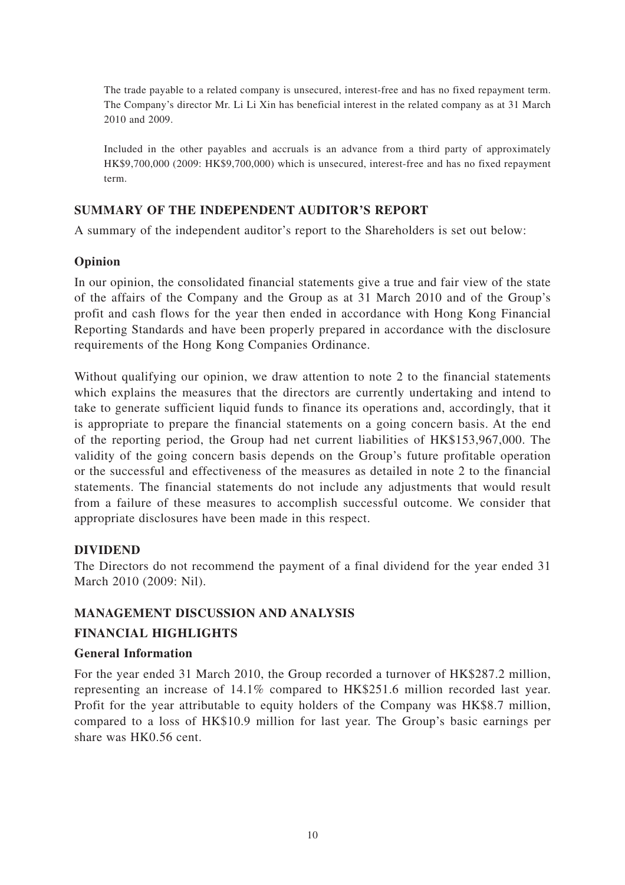The trade payable to a related company is unsecured, interest-free and has no fixed repayment term. The Company's director Mr. Li Li Xin has beneficial interest in the related company as at 31 March 2010 and 2009.

Included in the other payables and accruals is an advance from a third party of approximately HK\$9,700,000 (2009: HK\$9,700,000) which is unsecured, interest-free and has no fixed repayment term.

# **SUMMARY OF THE INDEPENDENT AUDITOR'S REPORT**

A summary of the independent auditor's report to the Shareholders is set out below:

# **Opinion**

In our opinion, the consolidated financial statements give a true and fair view of the state of the affairs of the Company and the Group as at 31 March 2010 and of the Group's profit and cash flows for the year then ended in accordance with Hong Kong Financial Reporting Standards and have been properly prepared in accordance with the disclosure requirements of the Hong Kong Companies Ordinance.

Without qualifying our opinion, we draw attention to note 2 to the financial statements which explains the measures that the directors are currently undertaking and intend to take to generate sufficient liquid funds to finance its operations and, accordingly, that it is appropriate to prepare the financial statements on a going concern basis. At the end of the reporting period, the Group had net current liabilities of HK\$153,967,000. The validity of the going concern basis depends on the Group's future profitable operation or the successful and effectiveness of the measures as detailed in note 2 to the financial statements. The financial statements do not include any adjustments that would result from a failure of these measures to accomplish successful outcome. We consider that appropriate disclosures have been made in this respect.

# **DIVIDEND**

The Directors do not recommend the payment of a final dividend for the year ended 31 March 2010 (2009: Nil).

# **MANAGEMENT DISCUSSION AND ANALYSIS**

### **FINANCIAL HIGHLIGHTS**

### **General Information**

For the year ended 31 March 2010, the Group recorded a turnover of HK\$287.2 million, representing an increase of 14.1% compared to HK\$251.6 million recorded last year. Profit for the year attributable to equity holders of the Company was HK\$8.7 million, compared to a loss of HK\$10.9 million for last year. The Group's basic earnings per share was HK0.56 cent.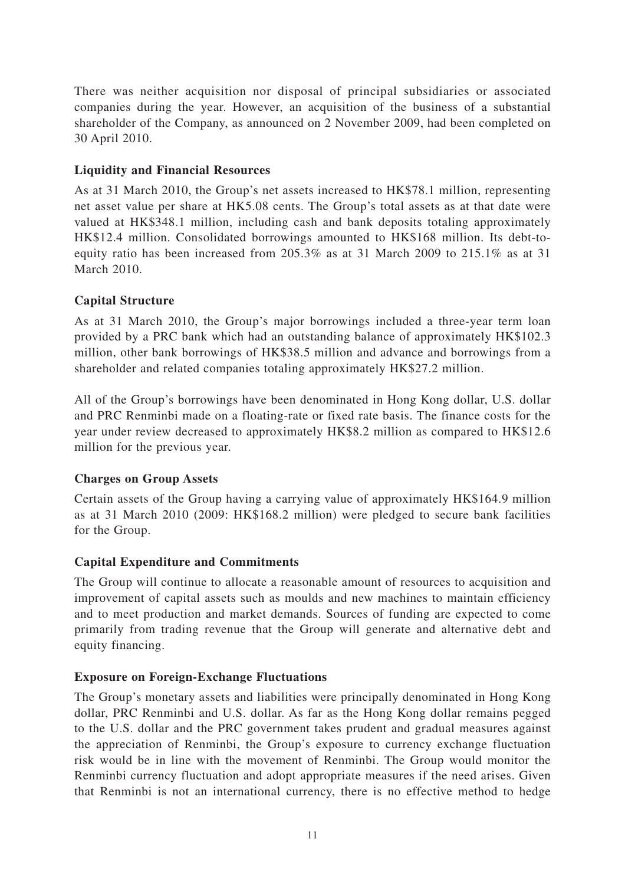There was neither acquisition nor disposal of principal subsidiaries or associated companies during the year. However, an acquisition of the business of a substantial shareholder of the Company, as announced on 2 November 2009, had been completed on 30 April 2010.

### **Liquidity and Financial Resources**

As at 31 March 2010, the Group's net assets increased to HK\$78.1 million, representing net asset value per share at HK5.08 cents. The Group's total assets as at that date were valued at HK\$348.1 million, including cash and bank deposits totaling approximately HK\$12.4 million. Consolidated borrowings amounted to HK\$168 million. Its debt-toequity ratio has been increased from 205.3% as at 31 March 2009 to 215.1% as at 31 March 2010.

# **Capital Structure**

As at 31 March 2010, the Group's major borrowings included a three-year term loan provided by a PRC bank which had an outstanding balance of approximately HK\$102.3 million, other bank borrowings of HK\$38.5 million and advance and borrowings from a shareholder and related companies totaling approximately HK\$27.2 million.

All of the Group's borrowings have been denominated in Hong Kong dollar, U.S. dollar and PRC Renminbi made on a floating-rate or fixed rate basis. The finance costs for the year under review decreased to approximately HK\$8.2 million as compared to HK\$12.6 million for the previous year.

# **Charges on Group Assets**

Certain assets of the Group having a carrying value of approximately HK\$164.9 million as at 31 March 2010 (2009: HK\$168.2 million) were pledged to secure bank facilities for the Group.

# **Capital Expenditure and Commitments**

The Group will continue to allocate a reasonable amount of resources to acquisition and improvement of capital assets such as moulds and new machines to maintain efficiency and to meet production and market demands. Sources of funding are expected to come primarily from trading revenue that the Group will generate and alternative debt and equity financing.

# **Exposure on Foreign-Exchange Fluctuations**

The Group's monetary assets and liabilities were principally denominated in Hong Kong dollar, PRC Renminbi and U.S. dollar. As far as the Hong Kong dollar remains pegged to the U.S. dollar and the PRC government takes prudent and gradual measures against the appreciation of Renminbi, the Group's exposure to currency exchange fluctuation risk would be in line with the movement of Renminbi. The Group would monitor the Renminbi currency fluctuation and adopt appropriate measures if the need arises. Given that Renminbi is not an international currency, there is no effective method to hedge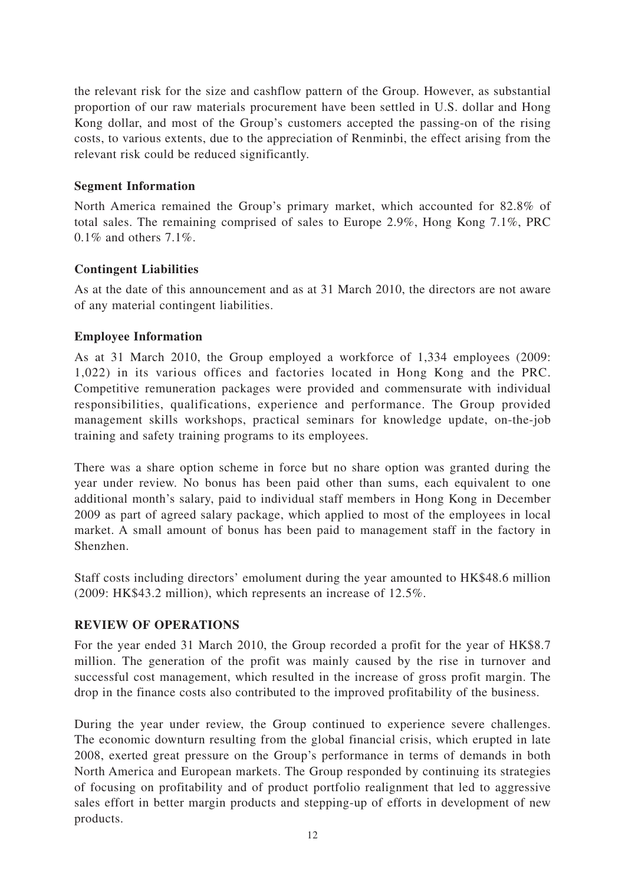the relevant risk for the size and cashflow pattern of the Group. However, as substantial proportion of our raw materials procurement have been settled in U.S. dollar and Hong Kong dollar, and most of the Group's customers accepted the passing-on of the rising costs, to various extents, due to the appreciation of Renminbi, the effect arising from the relevant risk could be reduced significantly.

### **Segment Information**

North America remained the Group's primary market, which accounted for 82.8% of total sales. The remaining comprised of sales to Europe 2.9%, Hong Kong 7.1%, PRC 0.1% and others 7.1%.

# **Contingent Liabilities**

As at the date of this announcement and as at 31 March 2010, the directors are not aware of any material contingent liabilities.

### **Employee Information**

As at 31 March 2010, the Group employed a workforce of 1,334 employees (2009: 1,022) in its various offices and factories located in Hong Kong and the PRC. Competitive remuneration packages were provided and commensurate with individual responsibilities, qualifications, experience and performance. The Group provided management skills workshops, practical seminars for knowledge update, on-the-job training and safety training programs to its employees.

There was a share option scheme in force but no share option was granted during the year under review. No bonus has been paid other than sums, each equivalent to one additional month's salary, paid to individual staff members in Hong Kong in December 2009 as part of agreed salary package, which applied to most of the employees in local market. A small amount of bonus has been paid to management staff in the factory in Shenzhen.

Staff costs including directors' emolument during the year amounted to HK\$48.6 million (2009: HK\$43.2 million), which represents an increase of 12.5%.

# **REVIEW OF OPERATIONS**

For the year ended 31 March 2010, the Group recorded a profit for the year of HK\$8.7 million. The generation of the profit was mainly caused by the rise in turnover and successful cost management, which resulted in the increase of gross profit margin. The drop in the finance costs also contributed to the improved profitability of the business.

During the year under review, the Group continued to experience severe challenges. The economic downturn resulting from the global financial crisis, which erupted in late 2008, exerted great pressure on the Group's performance in terms of demands in both North America and European markets. The Group responded by continuing its strategies of focusing on profitability and of product portfolio realignment that led to aggressive sales effort in better margin products and stepping-up of efforts in development of new products.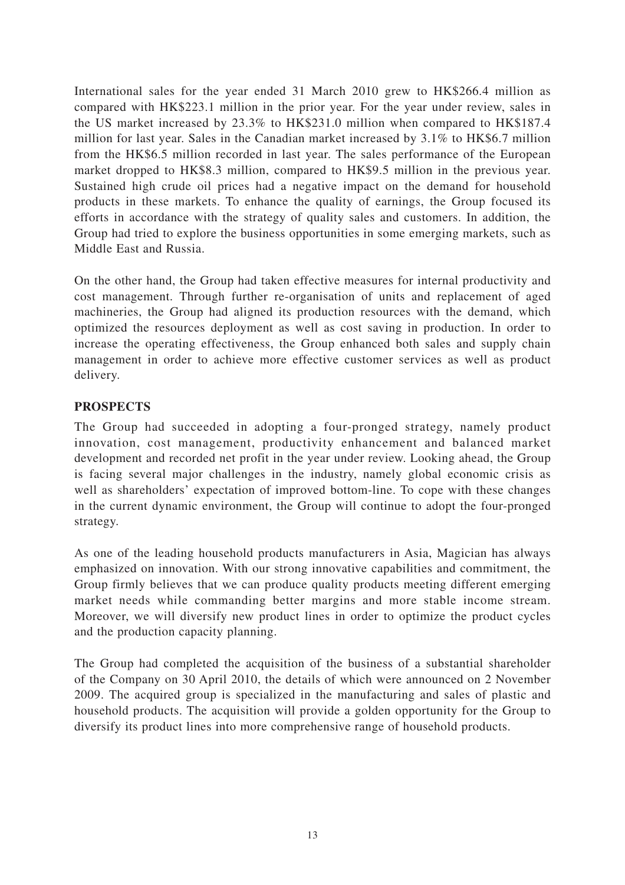International sales for the year ended 31 March 2010 grew to HK\$266.4 million as compared with HK\$223.1 million in the prior year. For the year under review, sales in the US market increased by 23.3% to HK\$231.0 million when compared to HK\$187.4 million for last year. Sales in the Canadian market increased by 3.1% to HK\$6.7 million from the HK\$6.5 million recorded in last year. The sales performance of the European market dropped to HK\$8.3 million, compared to HK\$9.5 million in the previous year. Sustained high crude oil prices had a negative impact on the demand for household products in these markets. To enhance the quality of earnings, the Group focused its efforts in accordance with the strategy of quality sales and customers. In addition, the Group had tried to explore the business opportunities in some emerging markets, such as Middle East and Russia.

On the other hand, the Group had taken effective measures for internal productivity and cost management. Through further re-organisation of units and replacement of aged machineries, the Group had aligned its production resources with the demand, which optimized the resources deployment as well as cost saving in production. In order to increase the operating effectiveness, the Group enhanced both sales and supply chain management in order to achieve more effective customer services as well as product delivery.

# **PROSPECTS**

The Group had succeeded in adopting a four-pronged strategy, namely product innovation, cost management, productivity enhancement and balanced market development and recorded net profit in the year under review. Looking ahead, the Group is facing several major challenges in the industry, namely global economic crisis as well as shareholders' expectation of improved bottom-line. To cope with these changes in the current dynamic environment, the Group will continue to adopt the four-pronged strategy.

As one of the leading household products manufacturers in Asia, Magician has always emphasized on innovation. With our strong innovative capabilities and commitment, the Group firmly believes that we can produce quality products meeting different emerging market needs while commanding better margins and more stable income stream. Moreover, we will diversify new product lines in order to optimize the product cycles and the production capacity planning.

The Group had completed the acquisition of the business of a substantial shareholder of the Company on 30 April 2010, the details of which were announced on 2 November 2009. The acquired group is specialized in the manufacturing and sales of plastic and household products. The acquisition will provide a golden opportunity for the Group to diversify its product lines into more comprehensive range of household products.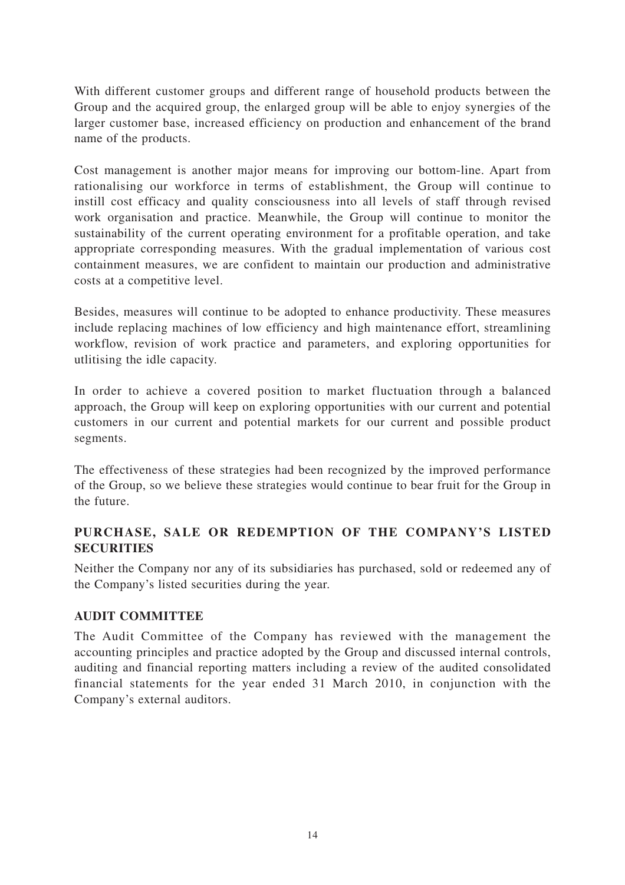With different customer groups and different range of household products between the Group and the acquired group, the enlarged group will be able to enjoy synergies of the larger customer base, increased efficiency on production and enhancement of the brand name of the products.

Cost management is another major means for improving our bottom-line. Apart from rationalising our workforce in terms of establishment, the Group will continue to instill cost efficacy and quality consciousness into all levels of staff through revised work organisation and practice. Meanwhile, the Group will continue to monitor the sustainability of the current operating environment for a profitable operation, and take appropriate corresponding measures. With the gradual implementation of various cost containment measures, we are confident to maintain our production and administrative costs at a competitive level.

Besides, measures will continue to be adopted to enhance productivity. These measures include replacing machines of low efficiency and high maintenance effort, streamlining workflow, revision of work practice and parameters, and exploring opportunities for utlitising the idle capacity.

In order to achieve a covered position to market fluctuation through a balanced approach, the Group will keep on exploring opportunities with our current and potential customers in our current and potential markets for our current and possible product segments.

The effectiveness of these strategies had been recognized by the improved performance of the Group, so we believe these strategies would continue to bear fruit for the Group in the future.

# **PURCHASE, SALE OR REDEMPTION OF THE COMPANY'S LISTED SECURITIES**

Neither the Company nor any of its subsidiaries has purchased, sold or redeemed any of the Company's listed securities during the year.

# **AUDIT COMMITTEE**

The Audit Committee of the Company has reviewed with the management the accounting principles and practice adopted by the Group and discussed internal controls, auditing and financial reporting matters including a review of the audited consolidated financial statements for the year ended 31 March 2010, in conjunction with the Company's external auditors.